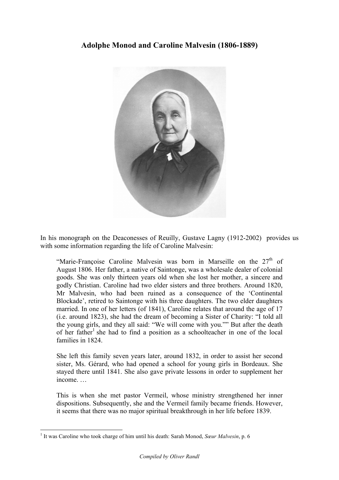## **Adolphe Monod and Caroline Malvesin (1806-1889)**



In his monograph on the Deaconesses of Reuilly, Gustave Lagny (1912-2002) provides us with some information regarding the life of Caroline Malvesin:

"Marie-Françoise Caroline Malvesin was born in Marseille on the  $27<sup>th</sup>$  of August 1806. Her father, a native of Saintonge, was a wholesale dealer of colonial goods. She was only thirteen years old when she lost her mother, a sincere and godly Christian. Caroline had two elder sisters and three brothers. Around 1820, Mr Malvesin, who had been ruined as a consequence of the 'Continental Blockade', retired to Saintonge with his three daughters. The two elder daughters married. In one of her letters (of 1841), Caroline relates that around the age of 17 (i.e. around 1823), she had the dream of becoming a Sister of Charity: "I told all the young girls, and they all said: "We will come with you."" But after the death of her father<sup>1</sup> she had to find a position as a schoolteacher in one of the local families in 1824.

She left this family seven years later, around 1832, in order to assist her second sister, Ms. Gérard, who had opened a school for young girls in Bordeaux. She stayed there until 1841. She also gave private lessons in order to supplement her income. …

This is when she met pastor Vermeil, whose ministry strengthened her inner dispositions. Subsequently, she and the Vermeil family became friends. However, it seems that there was no major spiritual breakthrough in her life before 1839.

 <sup>1</sup> It was Caroline who took charge of him until his death: Sarah Monod, *Sœur Malvesin*, p. 6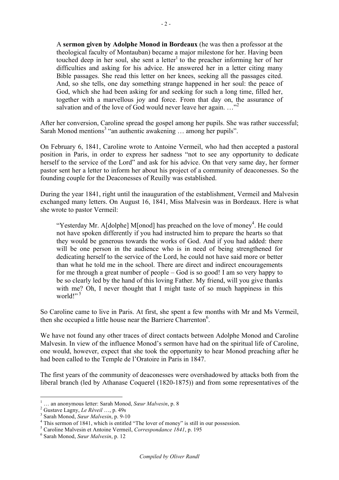A **sermon given by Adolphe Monod in Bordeaux** (he was then a professor at the theological faculty of Montauban) became a major milestone for her. Having been touched deep in her soul, she sent a letter<sup>1</sup> to the preacher informing her of her difficulties and asking for his advice. He answered her in a letter citing many Bible passages. She read this letter on her knees, seeking all the passages cited. And, so she tells, one day something strange happened in her soul: the peace of God, which she had been asking for and seeking for such a long time, filled her, together with a marvellous joy and force. From that day on, the assurance of salvation and of the love of God would never leave her again.  $\cdots$ <sup>2</sup>

After her conversion, Caroline spread the gospel among her pupils. She was rather successful; Sarah Monod mentions<sup>3</sup> "an authentic awakening ... among her pupils".

On February 6, 1841, Caroline wrote to Antoine Vermeil, who had then accepted a pastoral position in Paris, in order to express her sadness "not to see any opportunity to dedicate herself to the service of the Lord" and ask for his advice. On that very same day, her former pastor sent her a letter to inform her about his project of a community of deaconesses. So the founding couple for the Deaconesses of Reuilly was established.

During the year 1841, right until the inauguration of the establishment, Vermeil and Malvesin exchanged many letters. On August 16, 1841, Miss Malvesin was in Bordeaux. Here is what she wrote to pastor Vermeil:

"Yesterday Mr. A[dolphe] M[onod] has preached on the love of money<sup>4</sup>. He could not have spoken differently if you had instructed him to prepare the hearts so that they would be generous towards the works of God. And if you had added: there will be one person in the audience who is in need of being strengthened for dedicating herself to the service of the Lord, he could not have said more or better than what he told me in the school. There are direct and indirect encouragements for me through a great number of people – God is so good! I am so very happy to be so clearly led by the hand of this loving Father. My friend, will you give thanks with me? Oh, I never thought that I might taste of so much happiness in this world!" $5$ 

So Caroline came to live in Paris. At first, she spent a few months with Mr and Ms Vermeil, then she occupied a little house near the Barriere Charrenton<sup>6</sup>.

We have not found any other traces of direct contacts between Adolphe Monod and Caroline Malvesin. In view of the influence Monod's sermon have had on the spiritual life of Caroline, one would, however, expect that she took the opportunity to hear Monod preaching after he had been called to the Temple de l'Oratoire in Paris in 1847.

The first years of the community of deaconesses were overshadowed by attacks both from the liberal branch (led by Athanase Coquerel (1820-1875)) and from some representatives of the

<sup>&</sup>lt;sup>1</sup> ... an anonymous letter: Sarah Monod, *Sœur Malvesin*, p. 8<br>
<sup>2</sup> Gustave Lagny, *Le Réveil* ..., p. 49s<br>
<sup>3</sup> Sarah Monod, *Sœur Malvesin*, p. 9-10<br>
<sup>4</sup> This sermon of 1841, which is entitled "The lover of money" is st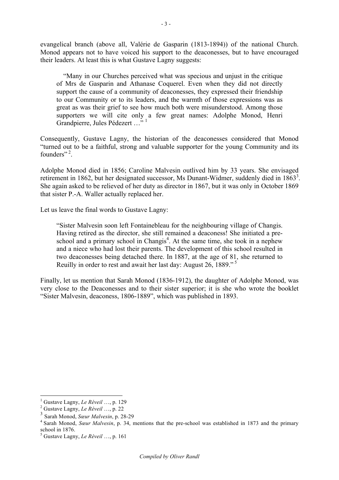evangelical branch (above all, Valérie de Gasparin (1813-1894)) of the national Church. Monod appears not to have voiced his support to the deaconesses, but to have encouraged their leaders. At least this is what Gustave Lagny suggests:

 "Many in our Churches perceived what was specious and unjust in the critique of Mrs de Gasparin and Athanase Coquerel. Even when they did not directly support the cause of a community of deaconesses, they expressed their friendship to our Community or to its leaders, and the warmth of those expressions was as great as was their grief to see how much both were misunderstood. Among those supporters we will cite only a few great names: Adolphe Monod, Henri Grandpierre, Jules Pédezert ..."<sup>1</sup>

Consequently, Gustave Lagny, the historian of the deaconesses considered that Monod "turned out to be a faithful, strong and valuable supporter for the young Community and its founders"<sup>2</sup>.

Adolphe Monod died in 1856; Caroline Malvesin outlived him by 33 years. She envisaged retirement in 1862, but her designated successor, Ms Dunant-Widmer, suddenly died in  $1863^3$ . She again asked to be relieved of her duty as director in 1867, but it was only in October 1869 that sister P.-A. Waller actually replaced her.

Let us leave the final words to Gustave Lagny:

"Sister Malvesin soon left Fontainebleau for the neighbouring village of Changis. Having retired as the director, she still remained a deaconess! She initiated a preschool and a primary school in Changis<sup>4</sup>. At the same time, she took in a nephew and a niece who had lost their parents. The development of this school resulted in two deaconesses being detached there. In 1887, at the age of 81, she returned to Reuilly in order to rest and await her last day: August 26, 1889." <sup>5</sup>

Finally, let us mention that Sarah Monod (1836-1912), the daughter of Adolphe Monod, was very close to the Deaconesses and to their sister superior; it is she who wrote the booklet "Sister Malvesin, deaconess, 1806-1889", which was published in 1893.

<sup>1</sup> Gustave Lagny, *Le Réveil* …, p. 129 <sup>2</sup> Gustave Lagny, *Le Réveil* …, p. 22

<sup>3</sup> Sarah Monod, *Sœur Malvesin*, p. 28-29

<sup>4</sup> Sarah Monod, *Sœur Malvesin*, p. 34, mentions that the pre-school was established in 1873 and the primary school in 1876.

<sup>5</sup> Gustave Lagny, *Le Réveil* …, p. 161